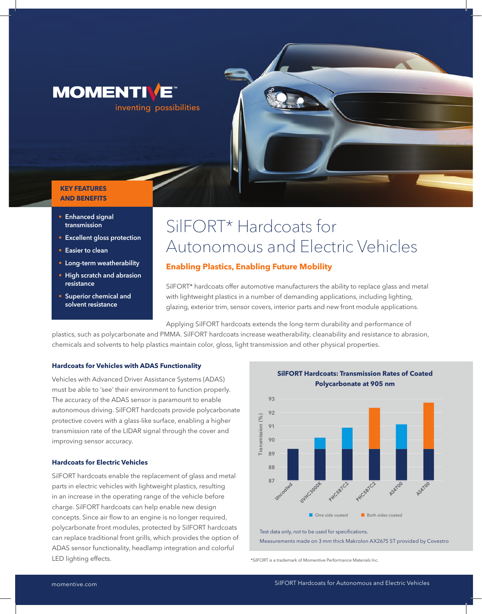

#### **KEY FEATURES AND BENEFITS**

- **• Enhanced signal transmission**
- **• Excellent gloss protection**
- **• Easier to clean**
- **• Long-term weatherability**
- **• High scratch and abrasion resistance**
- **• Superior chemical and solvent resistance**

# SilFORT\* Hardcoats for Autonomous and Electric Vehicles

## **Enabling Plastics, Enabling Future Mobility**

SilFORT\* hardcoats offer automotive manufacturers the ability to replace glass and metal with lightweight plastics in a number of demanding applications, including lighting, glazing, exterior trim, sensor covers, interior parts and new front module applications.

Applying SilFORT hardcoats extends the long-term durability and performance of

plastics, such as polycarbonate and PMMA. SilFORT hardcoats increase weatherability, cleanability and resistance to abrasion, chemicals and solvents to help plastics maintain color, gloss, light transmission and other physical properties.

#### **Hardcoats for Vehicles with ADAS Functionality**

Vehicles with Advanced Driver Assistance Systems (ADAS) must be able to 'see' their environment to function properly. The accuracy of the ADAS sensor is paramount to enable autonomous driving. SilFORT hardcoats provide polycarbonate protective covers with a glass-like surface, enabling a higher transmission rate of the LIDAR signal through the cover and improving sensor accuracy.

#### **Hardcoats for Electric Vehicles**

SilFORT hardcoats enable the replacement of glass and metal parts in electric vehicles with lightweight plastics, resulting in an increase in the operating range of the vehicle before charge. SilFORT hardcoats can help enable new design concepts. Since air flow to an engine is no longer required, polycarbonate front modules, protected by SilFORT hardcoats can replace traditional front grills, which provides the option of ADAS sensor functionality, headlamp integration and colorful LED lighting effects.





Test data only, not to be used for specifications. Measurements made on 3 mm thick Makrolon AX2675 ST provided by Covestro

\*SilFORT is a trademark of Momentive Performance Materials Inc.